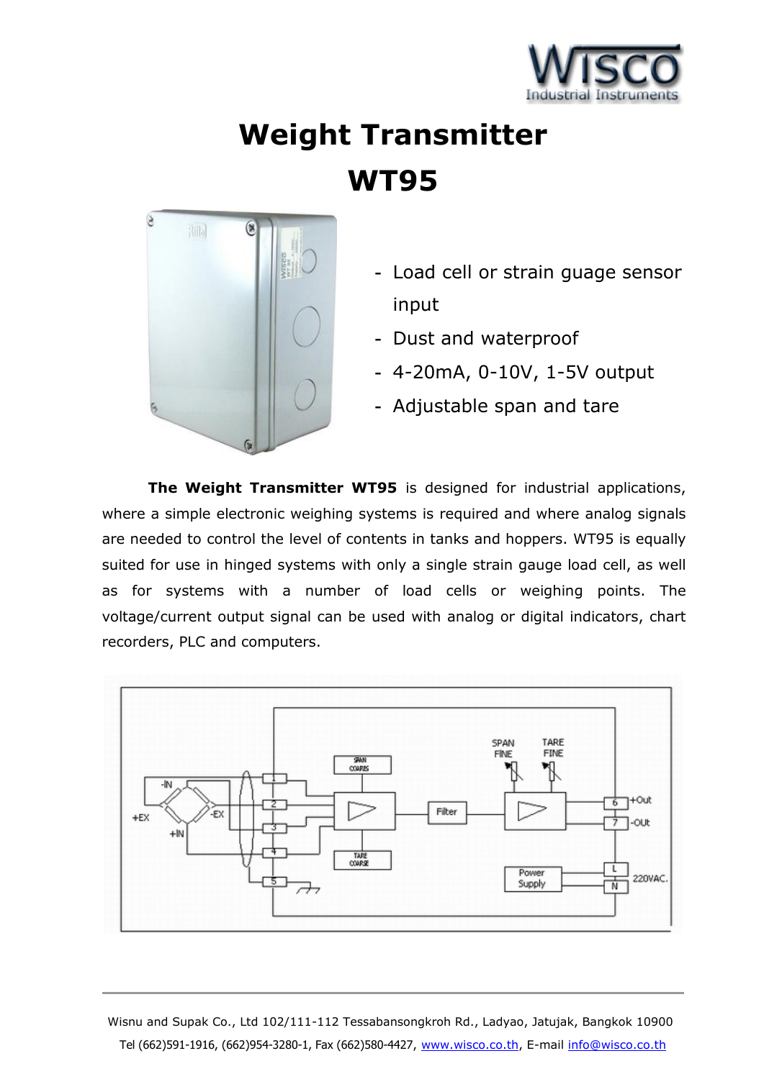

## **Weight Transmitter WT95**



- **-** Load cell or strain guage sensor input
- **-** Dust and waterproof
- **-** 4-20mA, 0-10V, 1-5V output
- **-** Adjustable span and tare

**The Weight Transmitter WT95** is designed for industrial applications, where a simple electronic weighing systems is required and where analog signals are needed to control the level of contents in tanks and hoppers. WT95 is equally suited for use in hinged systems with only a single strain gauge load cell, as well as for systems with a number of load cells or weighing points. The voltage/current output signal can be used with analog or digital indicators, chart recorders, PLC and computers.



Wisnu and Supak Co., Ltd 102/111-112 Tessabansongkroh Rd., Ladyao, Jatujak, Bangkok 10900 Tel (662)591-1916, (662)954-3280-1, Fax (662)580-4427, www.wisco.co.th, E-mail info@wisco.co.th